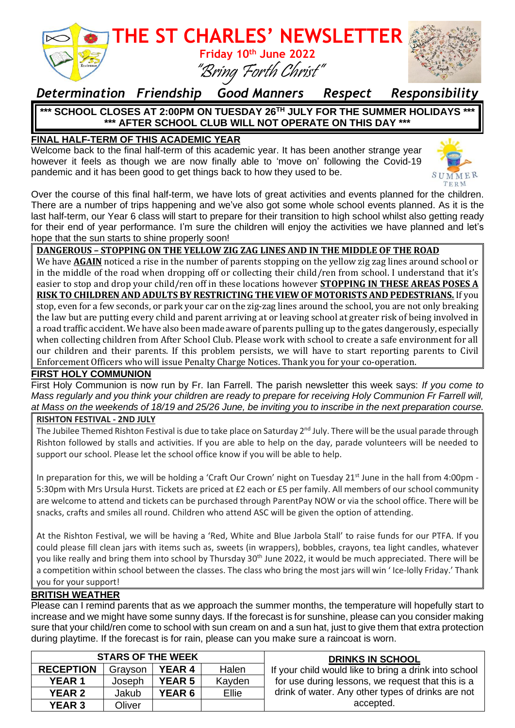

## *Determination Friendship Good Manners Respect Responsibility*

### **\*\*\* SCHOOL CLOSES AT 2:00PM ON TUESDAY 26TH JULY FOR THE SUMMER HOLIDAYS \*\*\* \*\*\* AFTER SCHOOL CLUB WILL NOT OPERATE ON THIS DAY \*\*\***

### **FINAL HALF-TERM OF THIS ACADEMIC YEAR**

Welcome back to the final half-term of this academic year. It has been another strange year however it feels as though we are now finally able to 'move on' following the Covid-19 pandemic and it has been good to get things back to how they used to be.



Over the course of this final half-term, we have lots of great activities and events planned for the children. There are a number of trips happening and we've also got some whole school events planned. As it is the last half-term, our Year 6 class will start to prepare for their transition to high school whilst also getting ready for their end of year performance. I'm sure the children will enjoy the activities we have planned and let's hope that the sun starts to shine properly soon!

#### **DANGEROUS – STOPPING ON THE YELLOW ZIG ZAG LINES AND IN THE MIDDLE OF THE ROAD**

We have **AGAIN** noticed a rise in the number of parents stopping on the yellow zig zag lines around school or in the middle of the road when dropping off or collecting their child/ren from school. I understand that it's easier to stop and drop your child/ren off in these locations however **STOPPING IN THESE AREAS POSES A RISK TO CHILDREN AND ADULTS BY RESTRICTING THE VIEW OF MOTORISTS AND PEDESTRIANS.** If you stop, even for a few seconds, or park your car on the zig-zag lines around the school, you are not only breaking the law but are putting every child and parent arriving at or leaving school at greater risk of being involved in a road traffic accident. We have also been made aware of parents pulling up to the gates dangerously, especially when collecting children from After School Club. Please work with school to create a safe environment for all our children and their parents. If this problem persists, we will have to start reporting parents to Civil Enforcement Officers who will issue Penalty Charge Notices. Thank you for your co-operation.

### **FIRST HOLY COMMUNION**

First Holy Communion is now run by Fr. Ian Farrell. The parish newsletter this week says: *If you come to Mass regularly and you think your children are ready to prepare for receiving Holy Communion Fr Farrell will, at Mass on the weekends of 18/19 and 25/26 June, be inviting you to inscribe in the next preparation course.*

#### **RISHTON FESTIVAL - 2ND JULY**

The Jubilee Themed Rishton Festival is due to take place on Saturday  $2^{nd}$  July. There will be the usual parade through Rishton followed by stalls and activities. If you are able to help on the day, parade volunteers will be needed to support our school. Please let the school office know if you will be able to help.

In preparation for this, we will be holding a 'Craft Our Crown' night on Tuesday 21<sup>st</sup> June in the hall from 4:00pm -5:30pm with Mrs Ursula Hurst. Tickets are priced at £2 each or £5 per family. All members of our school community are welcome to attend and tickets can be purchased through ParentPay NOW or via the school office. There will be snacks, crafts and smiles all round. Children who attend ASC will be given the option of attending.

At the Rishton Festival, we will be having a 'Red, White and Blue Jarbola Stall' to raise funds for our PTFA. If you could please fill clean jars with items such as, sweets (in wrappers), bobbles, crayons, tea light candles, whatever you like really and bring them into school by Thursday 30<sup>th</sup> June 2022, it would be much appreciated. There will be a competition within school between the classes. The class who bring the most jars will win ' Ice-lolly Friday.' Thank you for your support!

#### **BRITISH WEATHER**

Please can I remind parents that as we approach the summer months, the temperature will hopefully start to increase and we might have some sunny days. If the forecast is for sunshine, please can you consider making sure that your child/ren come to school with sun cream on and a sun hat, just to give them that extra protection during playtime. If the forecast is for rain, please can you make sure a raincoat is worn.

| <b>STARS OF THE WEEK</b> |         |               |        | <b>DRINKS IN SCHOOL</b>                               |
|--------------------------|---------|---------------|--------|-------------------------------------------------------|
| <b>RECEPTION</b>         | Grayson | <b>YEAR 4</b> | Halen  | If your child would like to bring a drink into school |
| <b>YEAR 1</b>            | Joseph  | <b>YEAR 5</b> | Kayden | for use during lessons, we request that this is a     |
| <b>YEAR 2</b>            | Jakub   | <b>YEAR 6</b> | Ellie  | drink of water. Any other types of drinks are not     |
| <b>YEAR 3</b>            | Oliver  |               |        | accepted.                                             |